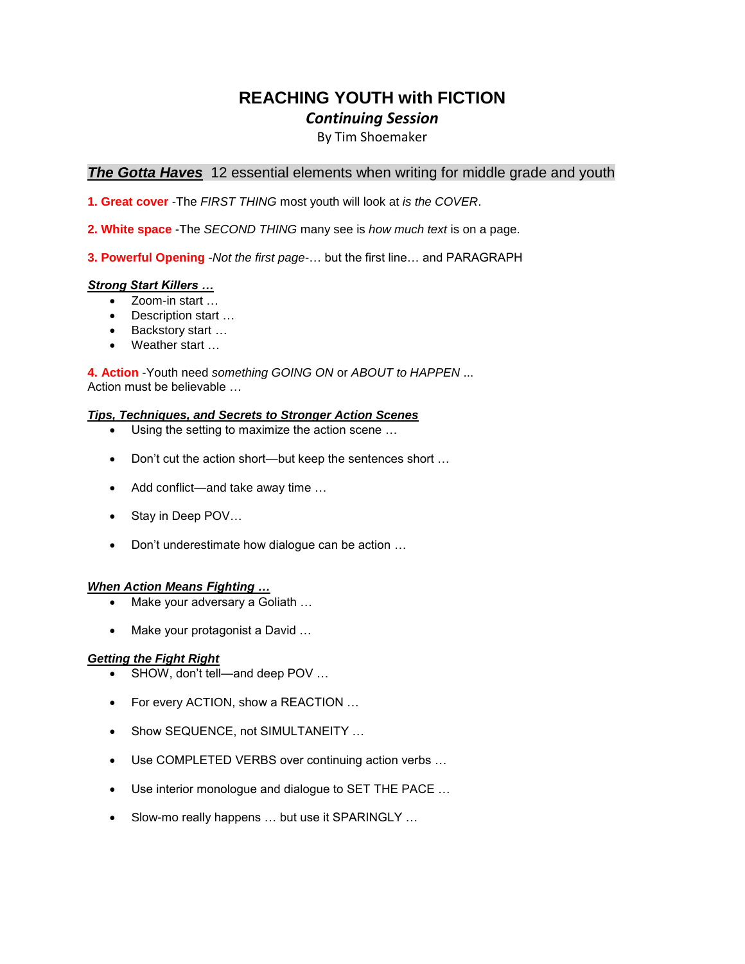# **REACHING YOUTH with FICTION** *Continuing Session*

### By Tim Shoemaker

### **The Gotta Haves** 12 essential elements when writing for middle grade and youth

**1. Great cover** -The *FIRST THING* most youth will look at *is the COVER*.

- **2. White space** -The *SECOND THING* many see is *how much text* is on a page.
- **3. Powerful Opening** -*Not the first page*-… but the first line… and PARAGRAPH

#### *Strong Start Killers …*

- Zoom-in start …
- Description start …
- Backstory start …
- Weather start …

**4. Action** -Youth need *something GOING ON* or *ABOUT to HAPPEN* ... Action must be believable …

#### *Tips, Techniques, and Secrets to Stronger Action Scenes*

- Using the setting to maximize the action scene …
- Don't cut the action short—but keep the sentences short ...
- Add conflict—and take away time …
- Stay in Deep POV...
- Don't underestimate how dialogue can be action …

#### *When Action Means Fighting …*

- Make your adversary a Goliath …
- Make your protagonist a David …

#### *Getting the Fight Right*

- SHOW, don't tell—and deep POV ...
- For every ACTION, show a REACTION ...
- Show SEQUENCE, not SIMULTANEITY ...
- Use COMPLETED VERBS over continuing action verbs …
- Use interior monologue and dialogue to SET THE PACE …
- Slow-mo really happens ... but use it SPARINGLY ...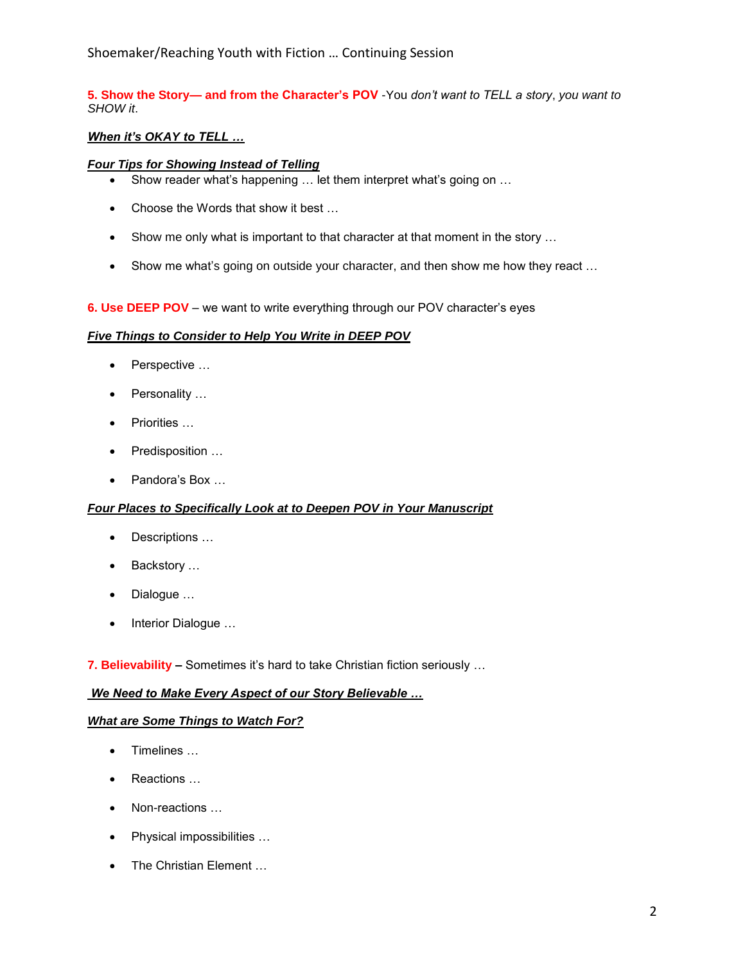# Shoemaker/Reaching Youth with Fiction … Continuing Session

### **5. Show the Story— and from the Character's POV** -You *don't want to TELL a story*, *you want to SHOW it*.

### *When it's OKAY to TELL …*

### *Four Tips for Showing Instead of Telling*

- Show reader what's happening … let them interpret what's going on …
- Choose the Words that show it best …
- Show me only what is important to that character at that moment in the story ...
- Show me what's going on outside your character, and then show me how they react ...

#### **6. Use DEEP POV** – we want to write everything through our POV character's eyes

#### *Five Things to Consider to Help You Write in DEEP POV*

- Perspective …
- Personality …
- Priorities …
- Predisposition …
- Pandora's Box …

#### *Four Places to Specifically Look at to Deepen POV in Your Manuscript*

- Descriptions …
- Backstory …
- Dialogue …
- Interior Dialogue ...

**7. Believability –** Sometimes it's hard to take Christian fiction seriously …

#### *We Need to Make Every Aspect of our Story Believable …*

#### *What are Some Things to Watch For?*

- Timelines …
- Reactions …
- Non-reactions …
- Physical impossibilities …
- The Christian Element ...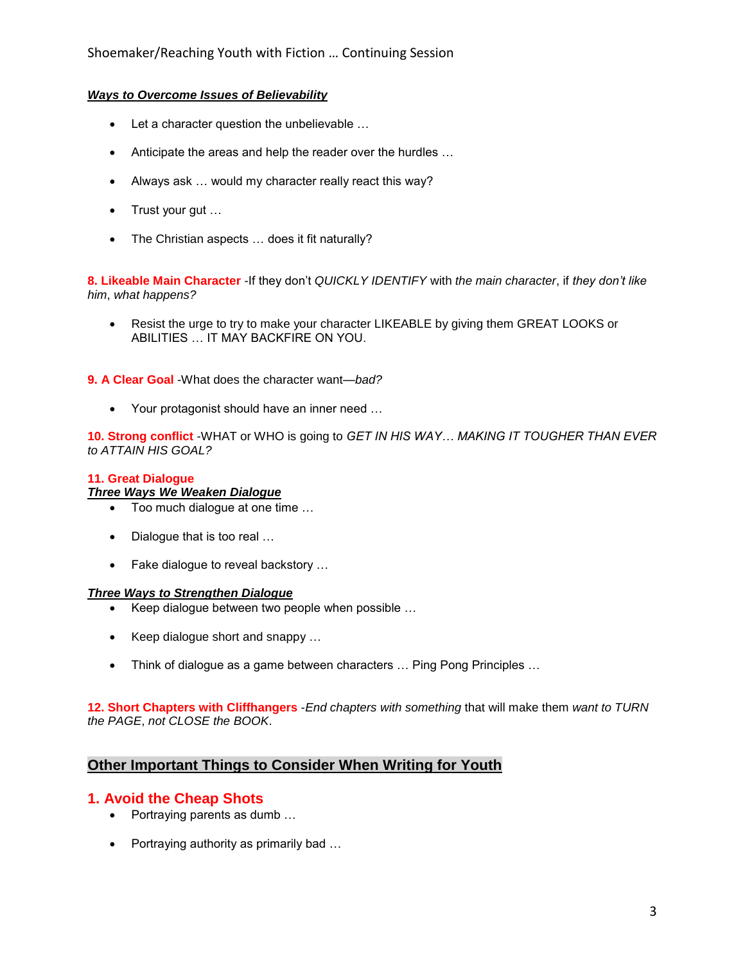### *Ways to Overcome Issues of Believability*

- Let a character question the unbelievable …
- Anticipate the areas and help the reader over the hurdles …
- Always ask … would my character really react this way?
- Trust your gut …
- The Christian aspects ... does it fit naturally?

**8. Likeable Main Character** -If they don't *QUICKLY IDENTIFY* with *the main character*, if *they don't like him*, *what happens?* 

• Resist the urge to try to make your character LIKEABLE by giving them GREAT LOOKS or ABILITIES … IT MAY BACKFIRE ON YOU.

**9. A Clear Goal** -What does the character want—*bad?*

• Your protagonist should have an inner need …

**10. Strong conflict** -WHAT or WHO is going to *GET IN HIS WAY… MAKING IT TOUGHER THAN EVER to ATTAIN HIS GOAL?*

### **11. Great Dialogue**

#### *Three Ways We Weaken Dialogue*

- Too much dialogue at one time …
- Dialogue that is too real ...
- Fake dialogue to reveal backstory ...

#### *Three Ways to Strengthen Dialogue*

- Keep dialogue between two people when possible …
- Keep dialogue short and snappy …
- Think of dialogue as a game between characters ... Ping Pong Principles ...

**12. Short Chapters with Cliffhangers** -*End chapters with something* that will make them *want to TURN the PAGE*, *not CLOSE the BOOK*.

## **Other Important Things to Consider When Writing for Youth**

## **1. Avoid the Cheap Shots**

- Portraying parents as dumb ...
- Portraying authority as primarily bad …